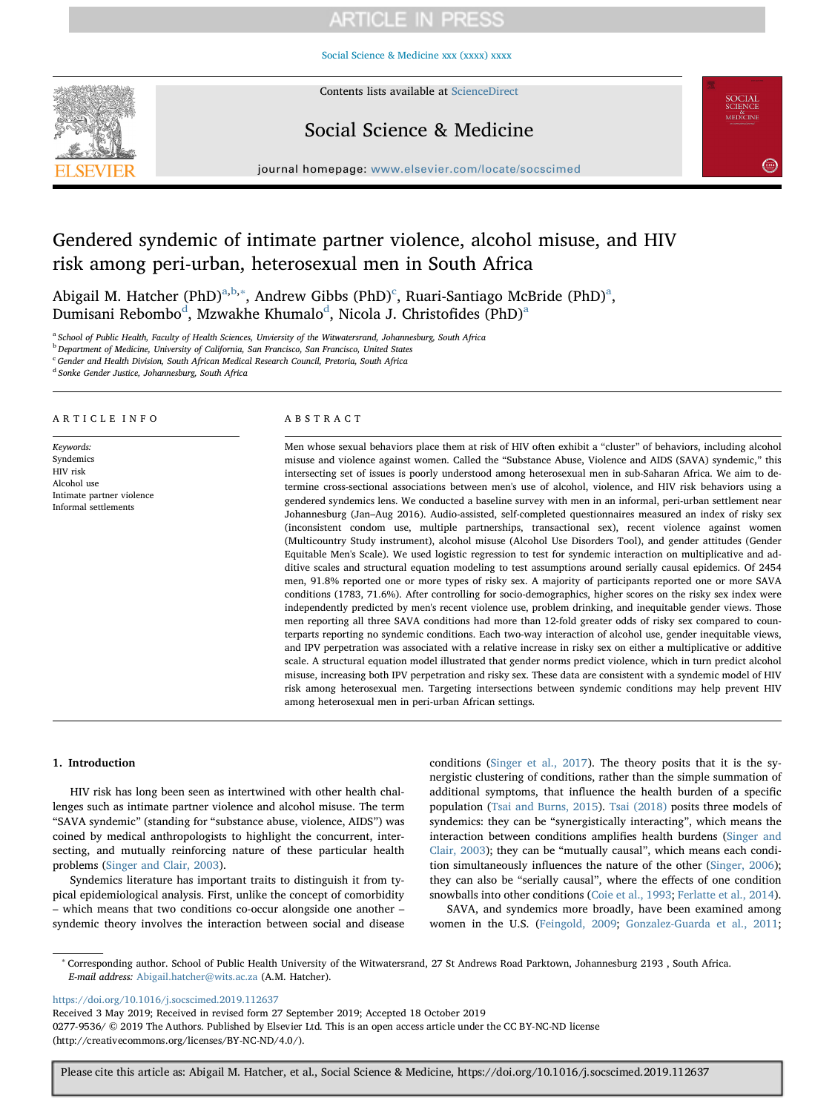# **ARTICLE IN PRESS**

[Social Science & Medicine xxx \(xxxx\) xxxx](https://doi.org/10.1016/j.socscimed.2019.112637)



Contents lists available at [ScienceDirect](http://www.sciencedirect.com/science/journal/02779536)

# Social Science & Medicine

**SCIENCI**<br>MEDICINI

journal homepage: [www.elsevier.com/locate/socscimed](https://www.elsevier.com/locate/socscimed)

# Gendered syndemic of intimate partner violence, alcohol misuse, and HIV risk among peri-urban, heterosexual men in South Africa

Abig[a](#page-0-0)il M. Hatcher (PhD)<sup>a,[b](#page-0-1),[∗](#page-0-2)</sup>, Andrew Gibbs (PhD)<sup>[c](#page-0-3)</sup>, Ruari-Santiago McBride (PhD)<sup>a</sup>, Dumis[a](#page-0-0)ni Rebombo $\rm^d$  $\rm^d$ , Mzwakhe Khumalo $\rm^d$ , Nicola J. Christofides (PhD) $\rm^a$ 

<span id="page-0-0"></span><sup>a</sup> School of Public Health, Faculty of Health Sciences, Unviersity of the Witwatersrand, Johannesburg, South Africa

<span id="page-0-1"></span><sup>b</sup> Department of Medicine, University of California, San Francisco, San Francisco, United States

<span id="page-0-3"></span> $\cdot$  Gender and Health Division, South African Medical Research Council, Pretoria, South Africa

<span id="page-0-4"></span><sup>d</sup> Sonke Gender Justice, Johannesburg, South Africa

## ARTICLE INFO

Keywords: Syndemics HIV risk Alcohol use Intimate partner violence Informal settlements

# ABSTRACT

Men whose sexual behaviors place them at risk of HIV often exhibit a "cluster" of behaviors, including alcohol misuse and violence against women. Called the "Substance Abuse, Violence and AIDS (SAVA) syndemic," this intersecting set of issues is poorly understood among heterosexual men in sub-Saharan Africa. We aim to determine cross-sectional associations between men's use of alcohol, violence, and HIV risk behaviors using a gendered syndemics lens. We conducted a baseline survey with men in an informal, peri-urban settlement near Johannesburg (Jan–Aug 2016). Audio-assisted, self-completed questionnaires measured an index of risky sex (inconsistent condom use, multiple partnerships, transactional sex), recent violence against women (Multicountry Study instrument), alcohol misuse (Alcohol Use Disorders Tool), and gender attitudes (Gender Equitable Men's Scale). We used logistic regression to test for syndemic interaction on multiplicative and additive scales and structural equation modeling to test assumptions around serially causal epidemics. Of 2454 men, 91.8% reported one or more types of risky sex. A majority of participants reported one or more SAVA conditions (1783, 71.6%). After controlling for socio-demographics, higher scores on the risky sex index were independently predicted by men's recent violence use, problem drinking, and inequitable gender views. Those men reporting all three SAVA conditions had more than 12-fold greater odds of risky sex compared to counterparts reporting no syndemic conditions. Each two-way interaction of alcohol use, gender inequitable views, and IPV perpetration was associated with a relative increase in risky sex on either a multiplicative or additive scale. A structural equation model illustrated that gender norms predict violence, which in turn predict alcohol misuse, increasing both IPV perpetration and risky sex. These data are consistent with a syndemic model of HIV risk among heterosexual men. Targeting intersections between syndemic conditions may help prevent HIV among heterosexual men in peri-urban African settings.

# 1. Introduction

HIV risk has long been seen as intertwined with other health challenges such as intimate partner violence and alcohol misuse. The term "SAVA syndemic" (standing for "substance abuse, violence, AIDS") was coined by medical anthropologists to highlight the concurrent, intersecting, and mutually reinforcing nature of these particular health problems ([Singer and Clair, 2003](#page-7-0)).

Syndemics literature has important traits to distinguish it from typical epidemiological analysis. First, unlike the concept of comorbidity – which means that two conditions co-occur alongside one another – syndemic theory involves the interaction between social and disease

conditions [\(Singer et al., 2017](#page-7-1)). The theory posits that it is the synergistic clustering of conditions, rather than the simple summation of additional symptoms, that influence the health burden of a specific population ([Tsai and Burns, 2015\)](#page-7-2). [Tsai \(2018\)](#page-7-3) posits three models of syndemics: they can be "synergistically interacting", which means the interaction between conditions amplifies health burdens ([Singer and](#page-7-0) [Clair, 2003\)](#page-7-0); they can be "mutually causal", which means each condition simultaneously influences the nature of the other ([Singer, 2006](#page-7-4)); they can also be "serially causal", where the effects of one condition snowballs into other conditions ([Coie et al., 1993](#page-6-0); [Ferlatte et al., 2014](#page-6-1)).

SAVA, and syndemics more broadly, have been examined among women in the U.S. [\(Feingold, 2009](#page-6-2); [Gonzalez-Guarda et al., 2011](#page-6-3);

<https://doi.org/10.1016/j.socscimed.2019.112637>

Received 3 May 2019; Received in revised form 27 September 2019; Accepted 18 October 2019 0277-9536/ © 2019 The Authors. Published by Elsevier Ltd. This is an open access article under the CC BY-NC-ND license (http://creativecommons.org/licenses/BY-NC-ND/4.0/).

<span id="page-0-2"></span><sup>∗</sup> Corresponding author. School of Public Health University of the Witwatersrand, 27 St Andrews Road Parktown, Johannesburg 2193 , South Africa. E-mail address: [Abigail.hatcher@wits.ac.za](mailto:Abigail.hatcher@wits.ac.za) (A.M. Hatcher).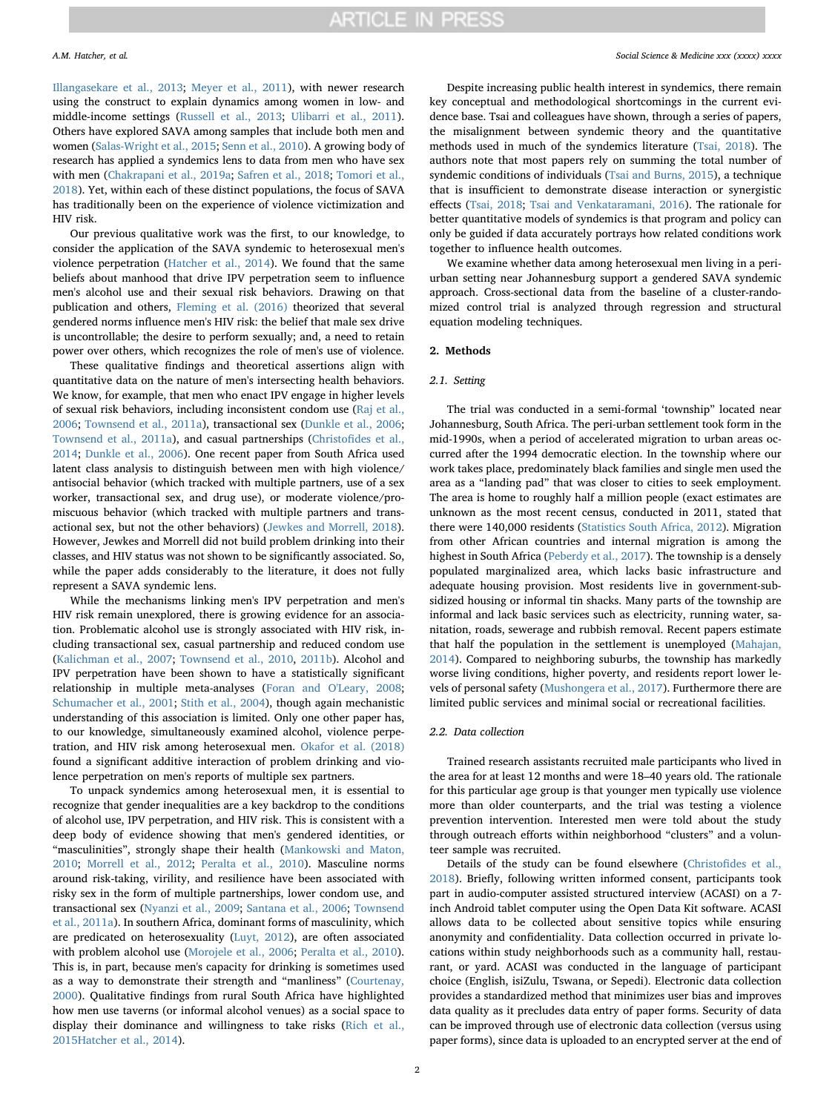[Illangasekare et al., 2013;](#page-6-4) [Meyer et al., 2011](#page-7-5)), with newer research using the construct to explain dynamics among women in low- and middle-income settings ([Russell et al., 2013](#page-7-6); [Ulibarri et al., 2011](#page-7-7)). Others have explored SAVA among samples that include both men and women [\(Salas-Wright et al., 2015](#page-7-8); [Senn et al., 2010\)](#page-7-9). A growing body of research has applied a syndemics lens to data from men who have sex with men ([Chakrapani et al., 2019a;](#page-6-5) [Safren et al., 2018](#page-7-10); [Tomori et al.,](#page-7-11) [2018\)](#page-7-11). Yet, within each of these distinct populations, the focus of SAVA has traditionally been on the experience of violence victimization and HIV risk.

Our previous qualitative work was the first, to our knowledge, to consider the application of the SAVA syndemic to heterosexual men's violence perpetration ([Hatcher et al., 2014\)](#page-6-6). We found that the same beliefs about manhood that drive IPV perpetration seem to influence men's alcohol use and their sexual risk behaviors. Drawing on that publication and others, [Fleming et al. \(2016\)](#page-6-7) theorized that several gendered norms influence men's HIV risk: the belief that male sex drive is uncontrollable; the desire to perform sexually; and, a need to retain power over others, which recognizes the role of men's use of violence.

These qualitative findings and theoretical assertions align with quantitative data on the nature of men's intersecting health behaviors. We know, for example, that men who enact IPV engage in higher levels of sexual risk behaviors, including inconsistent condom use [\(Raj et al.,](#page-7-12) [2006;](#page-7-12) [Townsend et al., 2011a](#page-7-13)), transactional sex ([Dunkle et al., 2006](#page-6-8); [Townsend et al., 2011a\)](#page-7-13), and casual partnerships (Christofi[des et al.,](#page-6-9) [2014;](#page-6-9) [Dunkle et al., 2006\)](#page-6-8). One recent paper from South Africa used latent class analysis to distinguish between men with high violence/ antisocial behavior (which tracked with multiple partners, use of a sex worker, transactional sex, and drug use), or moderate violence/promiscuous behavior (which tracked with multiple partners and transactional sex, but not the other behaviors) ([Jewkes and Morrell, 2018](#page-6-10)). However, Jewkes and Morrell did not build problem drinking into their classes, and HIV status was not shown to be significantly associated. So, while the paper adds considerably to the literature, it does not fully represent a SAVA syndemic lens.

While the mechanisms linking men's IPV perpetration and men's HIV risk remain unexplored, there is growing evidence for an association. Problematic alcohol use is strongly associated with HIV risk, including transactional sex, casual partnership and reduced condom use ([Kalichman et al., 2007](#page-6-11); [Townsend et al., 2010](#page-7-14), [2011b](#page-7-15)). Alcohol and IPV perpetration have been shown to have a statistically significant relationship in multiple meta-analyses [\(Foran and O'Leary, 2008](#page-6-12); [Schumacher et al., 2001](#page-7-16); [Stith et al., 2004](#page-7-17)), though again mechanistic understanding of this association is limited. Only one other paper has, to our knowledge, simultaneously examined alcohol, violence perpetration, and HIV risk among heterosexual men. [Okafor et al. \(2018\)](#page-7-18) found a significant additive interaction of problem drinking and violence perpetration on men's reports of multiple sex partners.

To unpack syndemics among heterosexual men, it is essential to recognize that gender inequalities are a key backdrop to the conditions of alcohol use, IPV perpetration, and HIV risk. This is consistent with a deep body of evidence showing that men's gendered identities, or "masculinities", strongly shape their health ([Mankowski and Maton,](#page-7-19) [2010;](#page-7-19) [Morrell et al., 2012;](#page-7-20) [Peralta et al., 2010](#page-7-21)). Masculine norms around risk-taking, virility, and resilience have been associated with risky sex in the form of multiple partnerships, lower condom use, and transactional sex ([Nyanzi et al., 2009](#page-7-22); [Santana et al., 2006;](#page-7-23) [Townsend](#page-7-13) [et al., 2011a](#page-7-13)). In southern Africa, dominant forms of masculinity, which are predicated on heterosexuality [\(Luyt, 2012\)](#page-6-13), are often associated with problem alcohol use ([Morojele et al., 2006;](#page-7-24) [Peralta et al., 2010](#page-7-21)). This is, in part, because men's capacity for drinking is sometimes used as a way to demonstrate their strength and "manliness" [\(Courtenay,](#page-6-14) [2000\)](#page-6-14). Qualitative findings from rural South Africa have highlighted how men use taverns (or informal alcohol venues) as a social space to display their dominance and willingness to take risks ([Rich et al.,](#page-7-25) [2015](#page-7-25)[Hatcher et al., 2014\)](#page-6-6).

Despite increasing public health interest in syndemics, there remain key conceptual and methodological shortcomings in the current evidence base. Tsai and colleagues have shown, through a series of papers, the misalignment between syndemic theory and the quantitative methods used in much of the syndemics literature ([Tsai, 2018\)](#page-7-3). The authors note that most papers rely on summing the total number of syndemic conditions of individuals ([Tsai and Burns, 2015](#page-7-2)), a technique that is insufficient to demonstrate disease interaction or synergistic effects [\(Tsai, 2018;](#page-7-3) [Tsai and Venkataramani, 2016\)](#page-7-26). The rationale for better quantitative models of syndemics is that program and policy can only be guided if data accurately portrays how related conditions work together to influence health outcomes.

We examine whether data among heterosexual men living in a periurban setting near Johannesburg support a gendered SAVA syndemic approach. Cross-sectional data from the baseline of a cluster-randomized control trial is analyzed through regression and structural equation modeling techniques.

#### 2. Methods

#### 2.1. Setting

The trial was conducted in a semi-formal 'township" located near Johannesburg, South Africa. The peri-urban settlement took form in the mid-1990s, when a period of accelerated migration to urban areas occurred after the 1994 democratic election. In the township where our work takes place, predominately black families and single men used the area as a "landing pad" that was closer to cities to seek employment. The area is home to roughly half a million people (exact estimates are unknown as the most recent census, conducted in 2011, stated that there were 140,000 residents [\(Statistics South Africa, 2012](#page-7-27)). Migration from other African countries and internal migration is among the highest in South Africa [\(Peberdy et al., 2017](#page-7-28)). The township is a densely populated marginalized area, which lacks basic infrastructure and adequate housing provision. Most residents live in government-subsidized housing or informal tin shacks. Many parts of the township are informal and lack basic services such as electricity, running water, sanitation, roads, sewerage and rubbish removal. Recent papers estimate that half the population in the settlement is unemployed ([Mahajan,](#page-6-15) [2014\)](#page-6-15). Compared to neighboring suburbs, the township has markedly worse living conditions, higher poverty, and residents report lower levels of personal safety [\(Mushongera et al., 2017\)](#page-7-29). Furthermore there are limited public services and minimal social or recreational facilities.

# 2.2. Data collection

Trained research assistants recruited male participants who lived in the area for at least 12 months and were 18–40 years old. The rationale for this particular age group is that younger men typically use violence more than older counterparts, and the trial was testing a violence prevention intervention. Interested men were told about the study through outreach efforts within neighborhood "clusters" and a volunteer sample was recruited.

Details of the study can be found elsewhere (Christofi[des et al.,](#page-6-16) [2018\)](#page-6-16). Briefly, following written informed consent, participants took part in audio-computer assisted structured interview (ACASI) on a 7 inch Android tablet computer using the Open Data Kit software. ACASI allows data to be collected about sensitive topics while ensuring anonymity and confidentiality. Data collection occurred in private locations within study neighborhoods such as a community hall, restaurant, or yard. ACASI was conducted in the language of participant choice (English, isiZulu, Tswana, or Sepedi). Electronic data collection provides a standardized method that minimizes user bias and improves data quality as it precludes data entry of paper forms. Security of data can be improved through use of electronic data collection (versus using paper forms), since data is uploaded to an encrypted server at the end of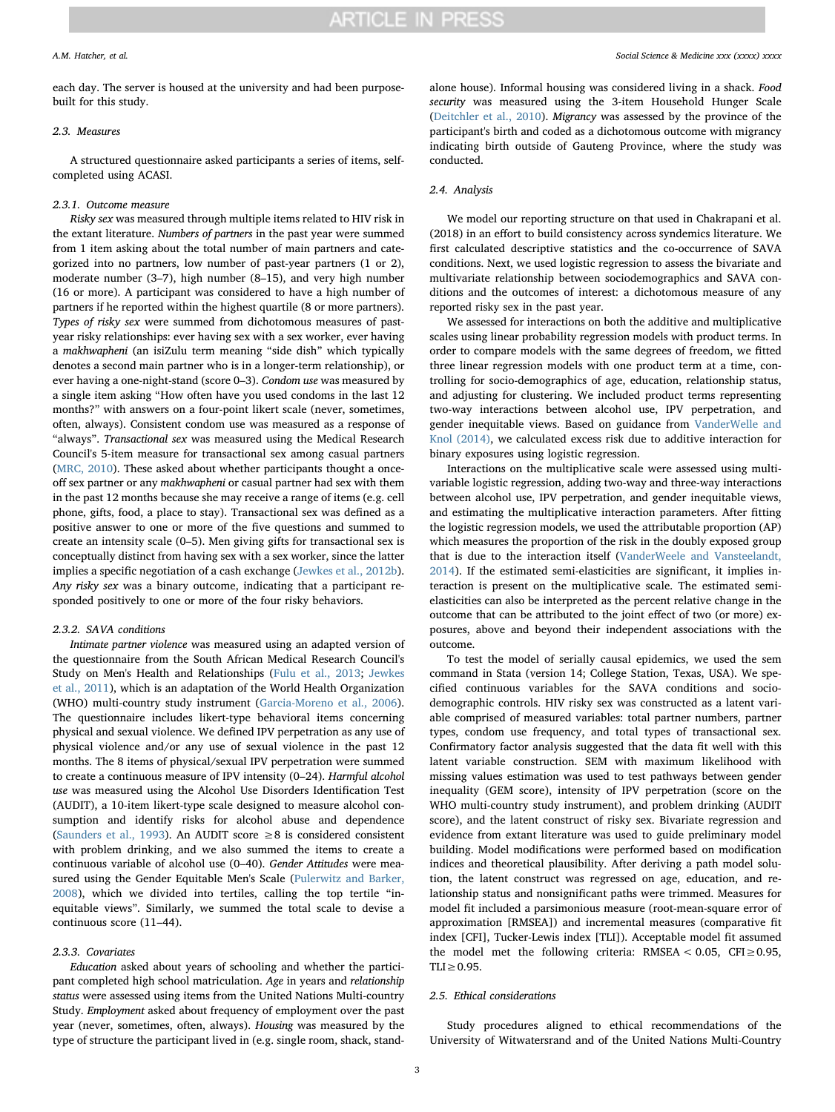# **ARTICLE IN PRESS**

each day. The server is housed at the university and had been purposebuilt for this study.

# 2.3. Measures

A structured questionnaire asked participants a series of items, selfcompleted using ACASI.

## 2.3.1. Outcome measure

Risky sex was measured through multiple items related to HIV risk in the extant literature. Numbers of partners in the past year were summed from 1 item asking about the total number of main partners and categorized into no partners, low number of past-year partners (1 or 2), moderate number (3–7), high number (8–15), and very high number (16 or more). A participant was considered to have a high number of partners if he reported within the highest quartile (8 or more partners). Types of risky sex were summed from dichotomous measures of pastyear risky relationships: ever having sex with a sex worker, ever having a makhwapheni (an isiZulu term meaning "side dish" which typically denotes a second main partner who is in a longer-term relationship), or ever having a one-night-stand (score 0–3). Condom use was measured by a single item asking "How often have you used condoms in the last 12 months?" with answers on a four-point likert scale (never, sometimes, often, always). Consistent condom use was measured as a response of "always". Transactional sex was measured using the Medical Research Council's 5-item measure for transactional sex among casual partners ([MRC, 2010\)](#page-7-30). These asked about whether participants thought a onceoff sex partner or any makhwapheni or casual partner had sex with them in the past 12 months because she may receive a range of items (e.g. cell phone, gifts, food, a place to stay). Transactional sex was defined as a positive answer to one or more of the five questions and summed to create an intensity scale (0–5). Men giving gifts for transactional sex is conceptually distinct from having sex with a sex worker, since the latter implies a specific negotiation of a cash exchange [\(Jewkes et al., 2012b](#page-6-17)). Any risky sex was a binary outcome, indicating that a participant responded positively to one or more of the four risky behaviors.

# 2.3.2. SAVA conditions

Intimate partner violence was measured using an adapted version of the questionnaire from the South African Medical Research Council's Study on Men's Health and Relationships [\(Fulu et al., 2013](#page-6-18); [Jewkes](#page-6-19) [et al., 2011](#page-6-19)), which is an adaptation of the World Health Organization (WHO) multi-country study instrument [\(Garcia-Moreno et al., 2006](#page-6-20)). The questionnaire includes likert-type behavioral items concerning physical and sexual violence. We defined IPV perpetration as any use of physical violence and/or any use of sexual violence in the past 12 months. The 8 items of physical/sexual IPV perpetration were summed to create a continuous measure of IPV intensity (0–24). Harmful alcohol use was measured using the Alcohol Use Disorders Identification Test (AUDIT), a 10-item likert-type scale designed to measure alcohol consumption and identify risks for alcohol abuse and dependence ([Saunders et al., 1993\)](#page-7-31). An AUDIT score ≥8 is considered consistent with problem drinking, and we also summed the items to create a continuous variable of alcohol use (0–40). Gender Attitudes were measured using the Gender Equitable Men's Scale ([Pulerwitz and Barker,](#page-7-32) [2008\)](#page-7-32), which we divided into tertiles, calling the top tertile "inequitable views". Similarly, we summed the total scale to devise a continuous score (11–44).

# 2.3.3. Covariates

Education asked about years of schooling and whether the participant completed high school matriculation. Age in years and relationship status were assessed using items from the United Nations Multi-country Study. Employment asked about frequency of employment over the past year (never, sometimes, often, always). Housing was measured by the type of structure the participant lived in (e.g. single room, shack, standalone house). Informal housing was considered living in a shack. Food security was measured using the 3-item Household Hunger Scale ([Deitchler et al., 2010](#page-6-21)). Migrancy was assessed by the province of the participant's birth and coded as a dichotomous outcome with migrancy indicating birth outside of Gauteng Province, where the study was conducted.

# 2.4. Analysis

We model our reporting structure on that used in Chakrapani et al. (2018) in an effort to build consistency across syndemics literature. We first calculated descriptive statistics and the co-occurrence of SAVA conditions. Next, we used logistic regression to assess the bivariate and multivariate relationship between sociodemographics and SAVA conditions and the outcomes of interest: a dichotomous measure of any reported risky sex in the past year.

We assessed for interactions on both the additive and multiplicative scales using linear probability regression models with product terms. In order to compare models with the same degrees of freedom, we fitted three linear regression models with one product term at a time, controlling for socio-demographics of age, education, relationship status, and adjusting for clustering. We included product terms representing two-way interactions between alcohol use, IPV perpetration, and gender inequitable views. Based on guidance from [VanderWelle and](#page-7-33) [Knol \(2014\),](#page-7-33) we calculated excess risk due to additive interaction for binary exposures using logistic regression.

Interactions on the multiplicative scale were assessed using multivariable logistic regression, adding two-way and three-way interactions between alcohol use, IPV perpetration, and gender inequitable views, and estimating the multiplicative interaction parameters. After fitting the logistic regression models, we used the attributable proportion (AP) which measures the proportion of the risk in the doubly exposed group that is due to the interaction itself [\(VanderWeele and Vansteelandt,](#page-7-34) [2014\)](#page-7-34). If the estimated semi-elasticities are significant, it implies interaction is present on the multiplicative scale. The estimated semielasticities can also be interpreted as the percent relative change in the outcome that can be attributed to the joint effect of two (or more) exposures, above and beyond their independent associations with the outcome.

To test the model of serially causal epidemics, we used the sem command in Stata (version 14; College Station, Texas, USA). We specified continuous variables for the SAVA conditions and sociodemographic controls. HIV risky sex was constructed as a latent variable comprised of measured variables: total partner numbers, partner types, condom use frequency, and total types of transactional sex. Confirmatory factor analysis suggested that the data fit well with this latent variable construction. SEM with maximum likelihood with missing values estimation was used to test pathways between gender inequality (GEM score), intensity of IPV perpetration (score on the WHO multi-country study instrument), and problem drinking (AUDIT score), and the latent construct of risky sex. Bivariate regression and evidence from extant literature was used to guide preliminary model building. Model modifications were performed based on modification indices and theoretical plausibility. After deriving a path model solution, the latent construct was regressed on age, education, and relationship status and nonsignificant paths were trimmed. Measures for model fit included a parsimonious measure (root-mean-square error of approximation [RMSEA]) and incremental measures (comparative fit index [CFI], Tucker-Lewis index [TLI]). Acceptable model fit assumed the model met the following criteria: RMSEA <  $0.05$ , CFI ≥ 0.95,  $TLI \geq 0.95$ .

### 2.5. Ethical considerations

Study procedures aligned to ethical recommendations of the University of Witwatersrand and of the United Nations Multi-Country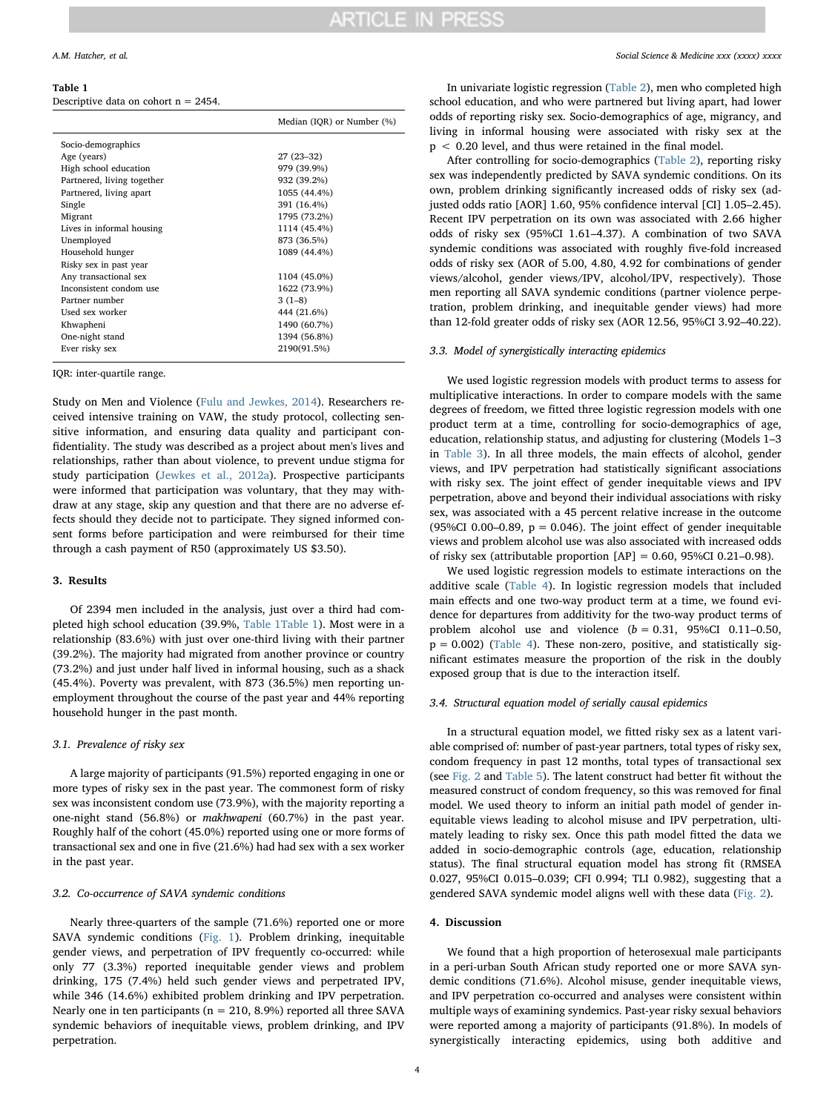#### <span id="page-3-0"></span>Table 1

Descriptive data on cohort  $n = 2454$ .

|                            | Median (IQR) or Number (%) |
|----------------------------|----------------------------|
| Socio-demographics         |                            |
| Age (years)                | $27(23-32)$                |
| High school education      | 979 (39.9%)                |
| Partnered, living together | 932 (39.2%)                |
| Partnered, living apart    | 1055 (44.4%)               |
| Single                     | 391 (16.4%)                |
| Migrant                    | 1795 (73.2%)               |
| Lives in informal housing  | 1114 (45.4%)               |
| Unemployed                 | 873 (36.5%)                |
| Household hunger           | 1089 (44.4%)               |
| Risky sex in past year     |                            |
| Any transactional sex      | 1104 (45.0%)               |
| Inconsistent condom use    | 1622 (73.9%)               |
| Partner number             | $3(1-8)$                   |
| Used sex worker            | 444 (21.6%)                |
| Khwapheni                  | 1490 (60.7%)               |
| One-night stand            | 1394 (56.8%)               |
| Ever risky sex             | 2190(91.5%)                |
|                            |                            |

IQR: inter-quartile range.

Study on Men and Violence [\(Fulu and Jewkes, 2014](#page-6-22)). Researchers received intensive training on VAW, the study protocol, collecting sensitive information, and ensuring data quality and participant confidentiality. The study was described as a project about men's lives and relationships, rather than about violence, to prevent undue stigma for study participation ([Jewkes et al., 2012a](#page-6-23)). Prospective participants were informed that participation was voluntary, that they may withdraw at any stage, skip any question and that there are no adverse effects should they decide not to participate. They signed informed consent forms before participation and were reimbursed for their time through a cash payment of R50 (approximately US \$3.50).

## 3. Results

Of 2394 men included in the analysis, just over a third had completed high school education (39.9%, [Table 1Table 1](#page-3-0)). Most were in a relationship (83.6%) with just over one-third living with their partner (39.2%). The majority had migrated from another province or country (73.2%) and just under half lived in informal housing, such as a shack (45.4%). Poverty was prevalent, with 873 (36.5%) men reporting unemployment throughout the course of the past year and 44% reporting household hunger in the past month.

### 3.1. Prevalence of risky sex

A large majority of participants (91.5%) reported engaging in one or more types of risky sex in the past year. The commonest form of risky sex was inconsistent condom use (73.9%), with the majority reporting a one-night stand (56.8%) or makhwapeni (60.7%) in the past year. Roughly half of the cohort (45.0%) reported using one or more forms of transactional sex and one in five (21.6%) had had sex with a sex worker in the past year.

### 3.2. Co-occurrence of SAVA syndemic conditions

Nearly three-quarters of the sample (71.6%) reported one or more SAVA syndemic conditions [\(Fig. 1\)](#page-4-0). Problem drinking, inequitable gender views, and perpetration of IPV frequently co-occurred: while only 77 (3.3%) reported inequitable gender views and problem drinking, 175 (7.4%) held such gender views and perpetrated IPV, while 346 (14.6%) exhibited problem drinking and IPV perpetration. Nearly one in ten participants ( $n = 210, 8.9%$ ) reported all three SAVA syndemic behaviors of inequitable views, problem drinking, and IPV perpetration.

In univariate logistic regression ([Table 2](#page-4-1)), men who completed high school education, and who were partnered but living apart, had lower odds of reporting risky sex. Socio-demographics of age, migrancy, and living in informal housing were associated with risky sex at the p < 0.20 level, and thus were retained in the final model.

After controlling for socio-demographics ([Table 2\)](#page-4-1), reporting risky sex was independently predicted by SAVA syndemic conditions. On its own, problem drinking significantly increased odds of risky sex (adjusted odds ratio [AOR] 1.60, 95% confidence interval [CI] 1.05–2.45). Recent IPV perpetration on its own was associated with 2.66 higher odds of risky sex (95%CI 1.61–4.37). A combination of two SAVA syndemic conditions was associated with roughly five-fold increased odds of risky sex (AOR of 5.00, 4.80, 4.92 for combinations of gender views/alcohol, gender views/IPV, alcohol/IPV, respectively). Those men reporting all SAVA syndemic conditions (partner violence perpetration, problem drinking, and inequitable gender views) had more than 12-fold greater odds of risky sex (AOR 12.56, 95%CI 3.92–40.22).

#### 3.3. Model of synergistically interacting epidemics

We used logistic regression models with product terms to assess for multiplicative interactions. In order to compare models with the same degrees of freedom, we fitted three logistic regression models with one product term at a time, controlling for socio-demographics of age, education, relationship status, and adjusting for clustering (Models 1–3 in [Table 3\)](#page-4-2). In all three models, the main effects of alcohol, gender views, and IPV perpetration had statistically significant associations with risky sex. The joint effect of gender inequitable views and IPV perpetration, above and beyond their individual associations with risky sex, was associated with a 45 percent relative increase in the outcome (95%CI 0.00–0.89,  $p = 0.046$ ). The joint effect of gender inequitable views and problem alcohol use was also associated with increased odds of risky sex (attributable proportion  $[AP] = 0.60, 95\% \text{CI } 0.21 - 0.98$ ).

We used logistic regression models to estimate interactions on the additive scale [\(Table 4](#page-5-0)). In logistic regression models that included main effects and one two-way product term at a time, we found evidence for departures from additivity for the two-way product terms of problem alcohol use and violence  $(b = 0.31, 95\% CI \t0.11-0.50,$  $p = 0.002$ ) [\(Table 4](#page-5-0)). These non-zero, positive, and statistically significant estimates measure the proportion of the risk in the doubly exposed group that is due to the interaction itself.

## 3.4. Structural equation model of serially causal epidemics

In a structural equation model, we fitted risky sex as a latent variable comprised of: number of past-year partners, total types of risky sex, condom frequency in past 12 months, total types of transactional sex (see [Fig. 2](#page-5-1) and [Table 5](#page-5-2)). The latent construct had better fit without the measured construct of condom frequency, so this was removed for final model. We used theory to inform an initial path model of gender inequitable views leading to alcohol misuse and IPV perpetration, ultimately leading to risky sex. Once this path model fitted the data we added in socio-demographic controls (age, education, relationship status). The final structural equation model has strong fit (RMSEA 0.027, 95%CI 0.015–0.039; CFI 0.994; TLI 0.982), suggesting that a gendered SAVA syndemic model aligns well with these data [\(Fig. 2\)](#page-5-1).

# 4. Discussion

We found that a high proportion of heterosexual male participants in a peri-urban South African study reported one or more SAVA syndemic conditions (71.6%). Alcohol misuse, gender inequitable views, and IPV perpetration co-occurred and analyses were consistent within multiple ways of examining syndemics. Past-year risky sexual behaviors were reported among a majority of participants (91.8%). In models of synergistically interacting epidemics, using both additive and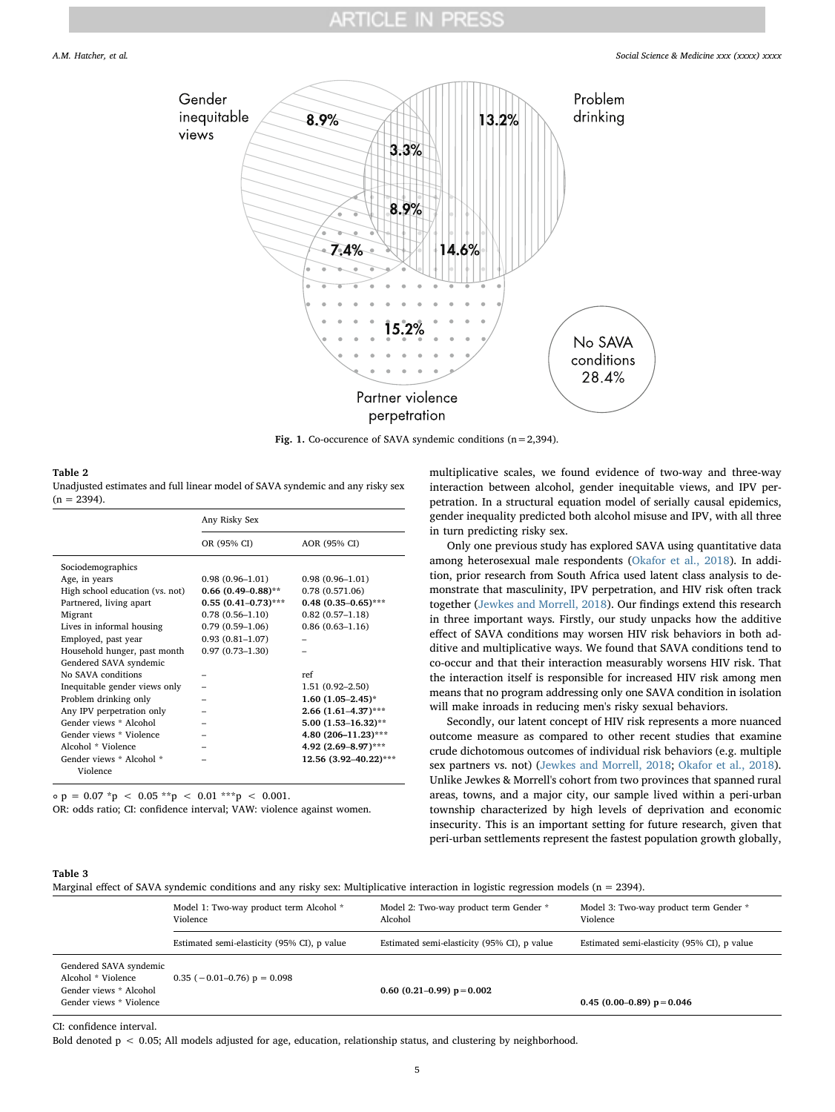# ARTICLE IN PRES

<span id="page-4-0"></span>

Fig. 1. Co-occurence of SAVA syndemic conditions  $(n=2,394)$ .

### <span id="page-4-1"></span>Table 2

Unadjusted estimates and full linear model of SAVA syndemic and any risky sex  $(n = 2394)$ .

|                                 | Any Risky Sex              |                          |  |
|---------------------------------|----------------------------|--------------------------|--|
|                                 | OR (95% CI)                | AOR (95% CI)             |  |
| Sociodemographics               |                            |                          |  |
| Age, in years                   | $0.98(0.96 - 1.01)$        | $0.98(0.96 - 1.01)$      |  |
| High school education (vs. not) | $0.66$ $(0.49-0.88)$ **    | 0.78(0.571.06)           |  |
| Partnered, living apart         | $0.55$ $(0.41 - 0.73)$ *** | $0.48$ $(0.35-0.65)$ *** |  |
| Migrant                         | $0.78(0.56 - 1.10)$        | $0.82(0.57 - 1.18)$      |  |
| Lives in informal housing       | $0.79(0.59-1.06)$          | $0.86(0.63 - 1.16)$      |  |
| Employed, past year             | $0.93(0.81 - 1.07)$        |                          |  |
| Household hunger, past month    | $0.97(0.73 - 1.30)$        |                          |  |
| Gendered SAVA syndemic          |                            |                          |  |
| No SAVA conditions              |                            | ref                      |  |
| Inequitable gender views only   |                            | $1.51(0.92 - 2.50)$      |  |
| Problem drinking only           |                            | $1.60$ $(1.05-2.45)$ *   |  |
| Any IPV perpetration only       |                            | $2.66$ (1.61-4.37)***    |  |
| Gender views * Alcohol          |                            | $5.00(1.53 - 16.32)$ **  |  |
| Gender views * Violence         |                            | 4.80 (206-11.23)***      |  |
| Alcohol * Violence              |                            | 4.92 (2.69-8.97)***      |  |
| Gender views * Alcohol *        |                            | 12.56 (3.92-40.22)***    |  |
| Violence                        |                            |                          |  |

 $\circ$  p = 0.07 \*p < 0.05 \*\*p < 0.01 \*\*\*p < 0.001.

OR: odds ratio; CI: confidence interval; VAW: violence against women.

multiplicative scales, we found evidence of two-way and three-way interaction between alcohol, gender inequitable views, and IPV perpetration. In a structural equation model of serially causal epidemics, gender inequality predicted both alcohol misuse and IPV, with all three in turn predicting risky sex.

Only one previous study has explored SAVA using quantitative data among heterosexual male respondents ([Okafor et al., 2018\)](#page-7-18). In addition, prior research from South Africa used latent class analysis to demonstrate that masculinity, IPV perpetration, and HIV risk often track together [\(Jewkes and Morrell, 2018](#page-6-10)). Our findings extend this research in three important ways. Firstly, our study unpacks how the additive effect of SAVA conditions may worsen HIV risk behaviors in both additive and multiplicative ways. We found that SAVA conditions tend to co-occur and that their interaction measurably worsens HIV risk. That the interaction itself is responsible for increased HIV risk among men means that no program addressing only one SAVA condition in isolation will make inroads in reducing men's risky sexual behaviors.

Secondly, our latent concept of HIV risk represents a more nuanced outcome measure as compared to other recent studies that examine crude dichotomous outcomes of individual risk behaviors (e.g. multiple sex partners vs. not) ([Jewkes and Morrell, 2018;](#page-6-10) [Okafor et al., 2018](#page-7-18)). Unlike Jewkes & Morrell's cohort from two provinces that spanned rural areas, towns, and a major city, our sample lived within a peri-urban township characterized by high levels of deprivation and economic insecurity. This is an important setting for future research, given that peri-urban settlements represent the fastest population growth globally,

# <span id="page-4-2"></span>Table 3

Marginal effect of SAVA syndemic conditions and any risky sex: Multiplicative interaction in logistic regression models (n = 2394).

|                                                                                                   | Model 1: Two-way product term Alcohol *<br>Violence | Model 2: Two-way product term Gender *<br>Alcohol | Model 3: Two-way product term Gender *<br>Violence |
|---------------------------------------------------------------------------------------------------|-----------------------------------------------------|---------------------------------------------------|----------------------------------------------------|
|                                                                                                   | Estimated semi-elasticity (95% CI), p value         | Estimated semi-elasticity (95% CI), p value       | Estimated semi-elasticity (95% CI), p value        |
| Gendered SAVA syndemic<br>Alcohol * Violence<br>Gender views * Alcohol<br>Gender views * Violence | $0.35$ (-0.01-0.76) p = 0.098                       | 0.60 $(0.21-0.99)$ p = 0.002                      | 0.45 (0.00–0.89) $p = 0.046$                       |

CI: confidence interval.

Bold denoted p < 0.05; All models adjusted for age, education, relationship status, and clustering by neighborhood.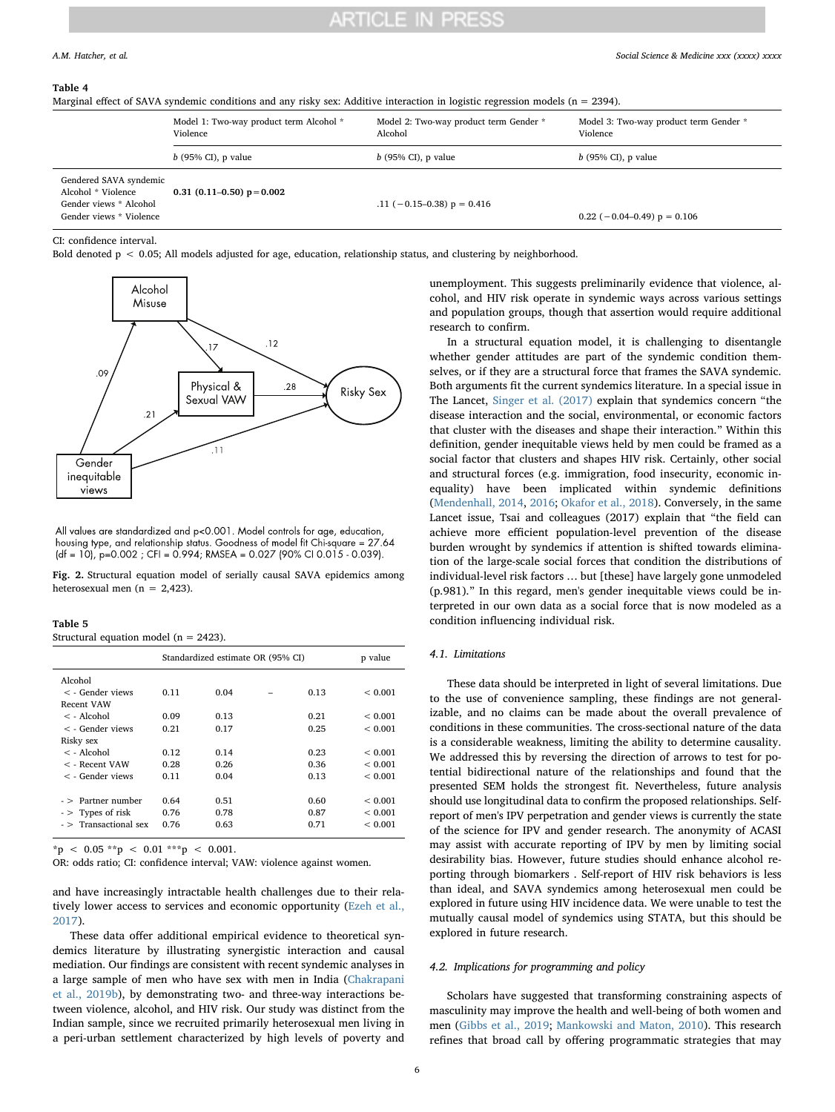# ARTICLE IN PRESS

#### <span id="page-5-0"></span>Table 4

Marginal effect of SAVA syndemic conditions and any risky sex: Additive interaction in logistic regression models (n = 2394).

|                                                                                                   | Model 1: Two-way product term Alcohol *<br>Violence | Model 2: Two-way product term Gender *<br>Alcohol | Model 3: Two-way product term Gender *<br>Violence |  |
|---------------------------------------------------------------------------------------------------|-----------------------------------------------------|---------------------------------------------------|----------------------------------------------------|--|
|                                                                                                   | $b$ (95% CI), p value                               | $b$ (95% CI), p value                             | $b$ (95% CI), p value                              |  |
| Gendered SAVA syndemic<br>Alcohol * Violence<br>Gender views * Alcohol<br>Gender views * Violence | 0.31 (0.11–0.50) $p = 0.002$                        | .11 $(-0.15-0.38)$ p = 0.416                      | $0.22$ (-0.04-0.49) $p = 0.106$                    |  |

CI: confidence interval.

Bold denoted p < 0.05; All models adjusted for age, education, relationship status, and clustering by neighborhood.

<span id="page-5-1"></span>

All values are standardized and p<0.001. Model controls for age, education, housing type, and relationship status. Goodness of model fit Chi-square = 27.64  $(df = 10)$ , p=0.002 ; CFI = 0.994; RMSEA = 0.027 (90% CI 0.015 - 0.039).

Fig. 2. Structural equation model of serially causal SAVA epidemics among heterosexual men (n =  $2,423$ ).

<span id="page-5-2"></span>

| Table |  |
|-------|--|
|-------|--|

Structural equation model ( $n = 2423$ ).

|                        | Standardized estimate OR (95% CI) |      |  |      | p value     |
|------------------------|-----------------------------------|------|--|------|-------------|
| Alcohol                |                                   |      |  |      |             |
| $\lt$ - Gender views   | 0.11                              | 0.04 |  | 0.13 | ${}< 0.001$ |
| Recent VAW             |                                   |      |  |      |             |
| $\leq$ - Alcohol       | 0.09                              | 0.13 |  | 0.21 | < 0.001     |
| $\lt$ - Gender views   | 0.21                              | 0.17 |  | 0.25 | < 0.001     |
| Risky sex              |                                   |      |  |      |             |
| $\leq$ - Alcohol       | 0.12                              | 0.14 |  | 0.23 | < 0.001     |
| $\lt$ - Recent VAW     | 0.28                              | 0.26 |  | 0.36 | < 0.001     |
| $\lt$ - Gender views   | 0.11                              | 0.04 |  | 0.13 | ${}< 0.001$ |
|                        |                                   |      |  |      |             |
| $-$ > Partner number   | 0.64                              | 0.51 |  | 0.60 | < 0.001     |
| $\sim$ Types of risk   | 0.76                              | 0.78 |  | 0.87 | < 0.001     |
| $ >$ Transactional sex | 0.76                              | 0.63 |  | 0.71 | ${}< 0.001$ |
|                        |                                   |      |  |      |             |

 $*_{\text{p}}$  < 0.05  $*_{\text{p}}$  < 0.01  $*_{\text{p}}$  < 0.001.

OR: odds ratio; CI: confidence interval; VAW: violence against women.

and have increasingly intractable health challenges due to their relatively lower access to services and economic opportunity ([Ezeh et al.,](#page-6-24) [2017\)](#page-6-24).

These data offer additional empirical evidence to theoretical syndemics literature by illustrating synergistic interaction and causal mediation. Our findings are consistent with recent syndemic analyses in a large sample of men who have sex with men in India [\(Chakrapani](#page-6-25) [et al., 2019b](#page-6-25)), by demonstrating two- and three-way interactions between violence, alcohol, and HIV risk. Our study was distinct from the Indian sample, since we recruited primarily heterosexual men living in a peri-urban settlement characterized by high levels of poverty and

unemployment. This suggests preliminarily evidence that violence, alcohol, and HIV risk operate in syndemic ways across various settings and population groups, though that assertion would require additional research to confirm.

In a structural equation model, it is challenging to disentangle whether gender attitudes are part of the syndemic condition themselves, or if they are a structural force that frames the SAVA syndemic. Both arguments fit the current syndemics literature. In a special issue in The Lancet, [Singer et al. \(2017\)](#page-7-1) explain that syndemics concern "the disease interaction and the social, environmental, or economic factors that cluster with the diseases and shape their interaction." Within this definition, gender inequitable views held by men could be framed as a social factor that clusters and shapes HIV risk. Certainly, other social and structural forces (e.g. immigration, food insecurity, economic inequality) have been implicated within syndemic definitions ([Mendenhall, 2014,](#page-7-35) [2016](#page-7-36); [Okafor et al., 2018\)](#page-7-18). Conversely, in the same Lancet issue, Tsai and colleagues (2017) explain that "the field can achieve more efficient population-level prevention of the disease burden wrought by syndemics if attention is shifted towards elimination of the large-scale social forces that condition the distributions of individual-level risk factors … but [these] have largely gone unmodeled (p.981)." In this regard, men's gender inequitable views could be interpreted in our own data as a social force that is now modeled as a condition influencing individual risk.

# 4.1. Limitations

These data should be interpreted in light of several limitations. Due to the use of convenience sampling, these findings are not generalizable, and no claims can be made about the overall prevalence of conditions in these communities. The cross-sectional nature of the data is a considerable weakness, limiting the ability to determine causality. We addressed this by reversing the direction of arrows to test for potential bidirectional nature of the relationships and found that the presented SEM holds the strongest fit. Nevertheless, future analysis should use longitudinal data to confirm the proposed relationships. Selfreport of men's IPV perpetration and gender views is currently the state of the science for IPV and gender research. The anonymity of ACASI may assist with accurate reporting of IPV by men by limiting social desirability bias. However, future studies should enhance alcohol reporting through biomarkers . Self-report of HIV risk behaviors is less than ideal, and SAVA syndemics among heterosexual men could be explored in future using HIV incidence data. We were unable to test the mutually causal model of syndemics using STATA, but this should be explored in future research.

### 4.2. Implications for programming and policy

Scholars have suggested that transforming constraining aspects of masculinity may improve the health and well-being of both women and men ([Gibbs et al., 2019;](#page-6-26) [Mankowski and Maton, 2010](#page-7-19)). This research refines that broad call by offering programmatic strategies that may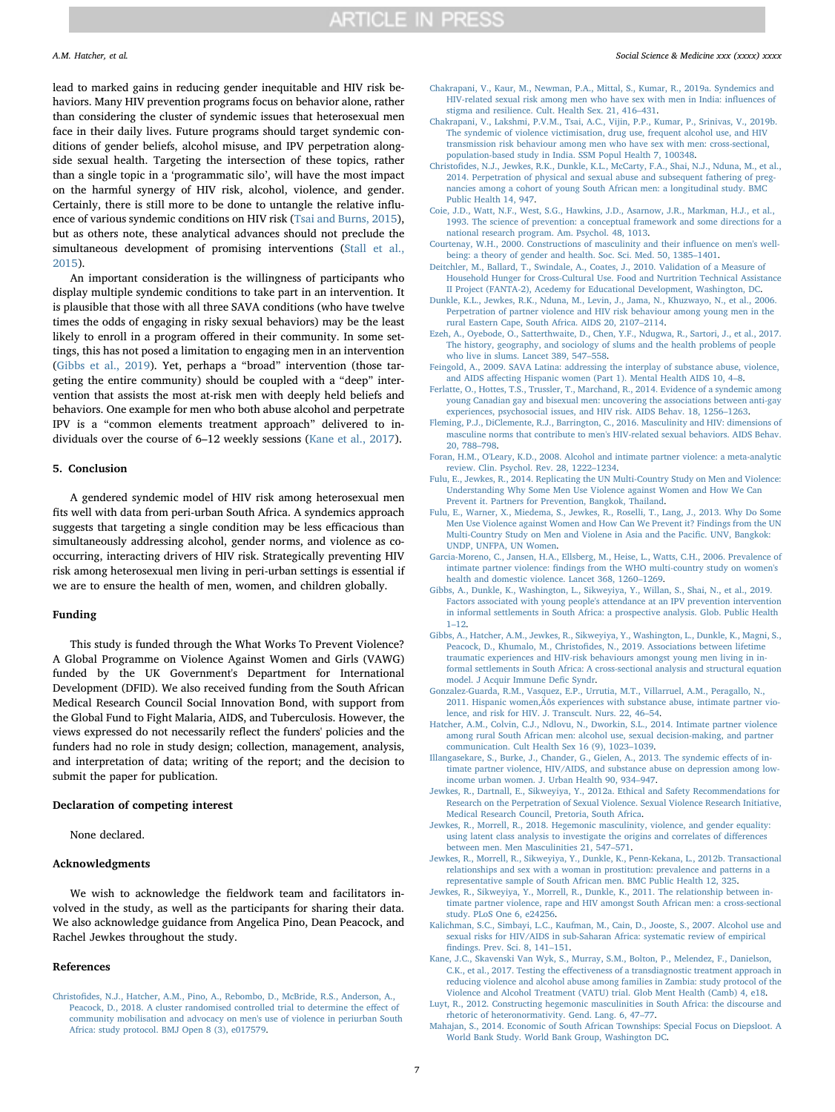lead to marked gains in reducing gender inequitable and HIV risk behaviors. Many HIV prevention programs focus on behavior alone, rather than considering the cluster of syndemic issues that heterosexual men face in their daily lives. Future programs should target syndemic conditions of gender beliefs, alcohol misuse, and IPV perpetration alongside sexual health. Targeting the intersection of these topics, rather than a single topic in a 'programmatic silo', will have the most impact on the harmful synergy of HIV risk, alcohol, violence, and gender. Certainly, there is still more to be done to untangle the relative influence of various syndemic conditions on HIV risk ([Tsai and Burns, 2015](#page-7-2)), but as others note, these analytical advances should not preclude the simultaneous development of promising interventions ([Stall et al.,](#page-7-37) [2015\)](#page-7-37).

An important consideration is the willingness of participants who display multiple syndemic conditions to take part in an intervention. It is plausible that those with all three SAVA conditions (who have twelve times the odds of engaging in risky sexual behaviors) may be the least likely to enroll in a program offered in their community. In some settings, this has not posed a limitation to engaging men in an intervention ([Gibbs et al., 2019](#page-6-27)). Yet, perhaps a "broad" intervention (those targeting the entire community) should be coupled with a "deep" intervention that assists the most at-risk men with deeply held beliefs and behaviors. One example for men who both abuse alcohol and perpetrate IPV is a "common elements treatment approach" delivered to individuals over the course of 6–12 weekly sessions ([Kane et al., 2017\)](#page-6-28).

### 5. Conclusion

A gendered syndemic model of HIV risk among heterosexual men fits well with data from peri-urban South Africa. A syndemics approach suggests that targeting a single condition may be less efficacious than simultaneously addressing alcohol, gender norms, and violence as cooccurring, interacting drivers of HIV risk. Strategically preventing HIV risk among heterosexual men living in peri-urban settings is essential if we are to ensure the health of men, women, and children globally.

#### Funding

This study is funded through the What Works To Prevent Violence? A Global Programme on Violence Against Women and Girls (VAWG) funded by the UK Government's Department for International Development (DFID). We also received funding from the South African Medical Research Council Social Innovation Bond, with support from the Global Fund to Fight Malaria, AIDS, and Tuberculosis. However, the views expressed do not necessarily reflect the funders' policies and the funders had no role in study design; collection, management, analysis, and interpretation of data; writing of the report; and the decision to submit the paper for publication.

# Declaration of competing interest

None declared.

# Acknowledgments

We wish to acknowledge the fieldwork team and facilitators involved in the study, as well as the participants for sharing their data. We also acknowledge guidance from Angelica Pino, Dean Peacock, and Rachel Jewkes throughout the study.

### References

<span id="page-6-16"></span>Christofi[des, N.J., Hatcher, A.M., Pino, A., Rebombo, D., McBride, R.S., Anderson, A.,](http://refhub.elsevier.com/S0277-9536(19)30632-X/sref3) [Peacock, D., 2018. A cluster randomised controlled trial to determine the e](http://refhub.elsevier.com/S0277-9536(19)30632-X/sref3)ffect of [community mobilisation and advocacy on men's use of violence in periurban South](http://refhub.elsevier.com/S0277-9536(19)30632-X/sref3) [Africa: study protocol. BMJ Open 8 \(3\), e017579.](http://refhub.elsevier.com/S0277-9536(19)30632-X/sref3)

- <span id="page-6-5"></span>[Chakrapani, V., Kaur, M., Newman, P.A., Mittal, S., Kumar, R., 2019a. Syndemics and](http://refhub.elsevier.com/S0277-9536(19)30632-X/sref5) [HIV-related sexual risk among men who have sex with men in India: in](http://refhub.elsevier.com/S0277-9536(19)30632-X/sref5)fluences of [stigma and resilience. Cult. Health Sex. 21, 416](http://refhub.elsevier.com/S0277-9536(19)30632-X/sref5)–431.
- <span id="page-6-25"></span>[Chakrapani, V., Lakshmi, P.V.M., Tsai, A.C., Vijin, P.P., Kumar, P., Srinivas, V., 2019b.](http://refhub.elsevier.com/S0277-9536(19)30632-X/sref6) [The syndemic of violence victimisation, drug use, frequent alcohol use, and HIV](http://refhub.elsevier.com/S0277-9536(19)30632-X/sref6) [transmission risk behaviour among men who have sex with men: cross-sectional,](http://refhub.elsevier.com/S0277-9536(19)30632-X/sref6) [population-based study in India. SSM Popul Health 7, 100348](http://refhub.elsevier.com/S0277-9536(19)30632-X/sref6).
- <span id="page-6-9"></span>Christofi[des, N.J., Jewkes, R.K., Dunkle, K.L., McCarty, F.A., Shai, N.J., Nduna, M., et al.,](http://refhub.elsevier.com/S0277-9536(19)30632-X/sref7) [2014. Perpetration of physical and sexual abuse and subsequent fathering of preg](http://refhub.elsevier.com/S0277-9536(19)30632-X/sref7)[nancies among a cohort of young South African men: a longitudinal study. BMC](http://refhub.elsevier.com/S0277-9536(19)30632-X/sref7) [Public Health 14, 947](http://refhub.elsevier.com/S0277-9536(19)30632-X/sref7).
- <span id="page-6-0"></span>[Coie, J.D., Watt, N.F., West, S.G., Hawkins, J.D., Asarnow, J.R., Markman, H.J., et al.,](http://refhub.elsevier.com/S0277-9536(19)30632-X/sref8) [1993. The science of prevention: a conceptual framework and some directions for a](http://refhub.elsevier.com/S0277-9536(19)30632-X/sref8) [national research program. Am. Psychol. 48, 1013](http://refhub.elsevier.com/S0277-9536(19)30632-X/sref8).
- <span id="page-6-14"></span>[Courtenay, W.H., 2000. Constructions of masculinity and their in](http://refhub.elsevier.com/S0277-9536(19)30632-X/sref9)fluence on men's well[being: a theory of gender and health. Soc. Sci. Med. 50, 1385](http://refhub.elsevier.com/S0277-9536(19)30632-X/sref9)–1401.
- <span id="page-6-21"></span>[Deitchler, M., Ballard, T., Swindale, A., Coates, J., 2010. Validation of a Measure of](http://refhub.elsevier.com/S0277-9536(19)30632-X/sref10) [Household Hunger for Cross-Cultural Use. Food and Nurtrition Technical Assistance](http://refhub.elsevier.com/S0277-9536(19)30632-X/sref10) [II Project \(FANTA-2\), Acedemy for Educational Development, Washington, DC](http://refhub.elsevier.com/S0277-9536(19)30632-X/sref10).
- <span id="page-6-8"></span>[Dunkle, K.L., Jewkes, R.K., Nduna, M., Levin, J., Jama, N., Khuzwayo, N., et al., 2006.](http://refhub.elsevier.com/S0277-9536(19)30632-X/sref11) [Perpetration of partner violence and HIV risk behaviour among young men in the](http://refhub.elsevier.com/S0277-9536(19)30632-X/sref11) [rural Eastern Cape, South Africa. AIDS 20, 2107](http://refhub.elsevier.com/S0277-9536(19)30632-X/sref11)–2114.
- <span id="page-6-24"></span>[Ezeh, A., Oyebode, O., Satterthwaite, D., Chen, Y.F., Ndugwa, R., Sartori, J., et al., 2017.](http://refhub.elsevier.com/S0277-9536(19)30632-X/sref12) [The history, geography, and sociology of slums and the health problems of people](http://refhub.elsevier.com/S0277-9536(19)30632-X/sref12) [who live in slums. Lancet 389, 547](http://refhub.elsevier.com/S0277-9536(19)30632-X/sref12)–558.
- <span id="page-6-2"></span>[Feingold, A., 2009. SAVA Latina: addressing the interplay of substance abuse, violence,](http://refhub.elsevier.com/S0277-9536(19)30632-X/sref13) and AIDS aff[ecting Hispanic women \(Part 1\). Mental Health AIDS 10, 4](http://refhub.elsevier.com/S0277-9536(19)30632-X/sref13)–8.
- <span id="page-6-1"></span>[Ferlatte, O., Hottes, T.S., Trussler, T., Marchand, R., 2014. Evidence of a syndemic among](http://refhub.elsevier.com/S0277-9536(19)30632-X/sref14) [young Canadian gay and bisexual men: uncovering the associations between anti-gay](http://refhub.elsevier.com/S0277-9536(19)30632-X/sref14) [experiences, psychosocial issues, and HIV risk. AIDS Behav. 18, 1256](http://refhub.elsevier.com/S0277-9536(19)30632-X/sref14)–1263.
- <span id="page-6-7"></span>[Fleming, P.J., DiClemente, R.J., Barrington, C., 2016. Masculinity and HIV: dimensions of](http://refhub.elsevier.com/S0277-9536(19)30632-X/sref15) [masculine norms that contribute to men's HIV-related sexual behaviors. AIDS Behav.](http://refhub.elsevier.com/S0277-9536(19)30632-X/sref15) [20, 788](http://refhub.elsevier.com/S0277-9536(19)30632-X/sref15)–798.
- <span id="page-6-12"></span>[Foran, H.M., O'Leary, K.D., 2008. Alcohol and intimate partner violence: a meta-analytic](http://refhub.elsevier.com/S0277-9536(19)30632-X/sref16) [review. Clin. Psychol. Rev. 28, 1222](http://refhub.elsevier.com/S0277-9536(19)30632-X/sref16)–1234.
- <span id="page-6-22"></span>[Fulu, E., Jewkes, R., 2014. Replicating the UN Multi-Country Study on Men and Violence:](http://refhub.elsevier.com/S0277-9536(19)30632-X/sref17) [Understanding Why Some Men Use Violence against Women and How We Can](http://refhub.elsevier.com/S0277-9536(19)30632-X/sref17) [Prevent it. Partners for Prevention, Bangkok, Thailand.](http://refhub.elsevier.com/S0277-9536(19)30632-X/sref17)
- <span id="page-6-18"></span>[Fulu, E., Warner, X., Miedema, S., Jewkes, R., Roselli, T., Lang, J., 2013. Why Do Some](http://refhub.elsevier.com/S0277-9536(19)30632-X/sref18) [Men Use Violence against Women and How Can We Prevent it? Findings from the UN](http://refhub.elsevier.com/S0277-9536(19)30632-X/sref18) [Multi-Country Study on Men and Violene in Asia and the Paci](http://refhub.elsevier.com/S0277-9536(19)30632-X/sref18)fic. UNV, Bangkok: [UNDP, UNFPA, UN Women](http://refhub.elsevier.com/S0277-9536(19)30632-X/sref18).
- <span id="page-6-20"></span>[Garcia-Moreno, C., Jansen, H.A., Ellsberg, M., Heise, L., Watts, C.H., 2006. Prevalence of](http://refhub.elsevier.com/S0277-9536(19)30632-X/sref19) intimate partner violence: fi[ndings from the WHO multi-country study on women's](http://refhub.elsevier.com/S0277-9536(19)30632-X/sref19) [health and domestic violence. Lancet 368, 1260](http://refhub.elsevier.com/S0277-9536(19)30632-X/sref19)–1269.
- <span id="page-6-27"></span>[Gibbs, A., Dunkle, K., Washington, L., Sikweyiya, Y., Willan, S., Shai, N., et al., 2019.](http://refhub.elsevier.com/S0277-9536(19)30632-X/sref20) [Factors associated with young people's attendance at an IPV prevention intervention](http://refhub.elsevier.com/S0277-9536(19)30632-X/sref20) [in informal settlements in South Africa: a prospective analysis. Glob. Public Health](http://refhub.elsevier.com/S0277-9536(19)30632-X/sref20) 1–[12.](http://refhub.elsevier.com/S0277-9536(19)30632-X/sref20)
- <span id="page-6-26"></span>Gibbs, [A., Hatcher, A.M., Jewkes, R., Sikweyiya, Y., Washington, L., Dunkle, K., Magni, S.,](http://refhub.elsevier.com/S0277-9536(19)30632-X/sref4) Peacock, D., Khumalo, M., Christofi[des, N., 2019. Associations between lifetime](http://refhub.elsevier.com/S0277-9536(19)30632-X/sref4) [traumatic experiences and HIV-risk behaviours amongst young men living in in](http://refhub.elsevier.com/S0277-9536(19)30632-X/sref4)[formal settlements in South Africa: A cross-sectional analysis and structural equation](http://refhub.elsevier.com/S0277-9536(19)30632-X/sref4) [model. J Acquir Immune De](http://refhub.elsevier.com/S0277-9536(19)30632-X/sref4)fic Syndr.
- <span id="page-6-3"></span>[Gonzalez-Guarda, R.M., Vasquez, E.P., Urrutia, M.T., Villarruel, A.M., Peragallo, N.,](http://refhub.elsevier.com/S0277-9536(19)30632-X/sref21) 2011. Hispanic women, [Äôs experiences with substance abuse, intimate partner vio](http://refhub.elsevier.com/S0277-9536(19)30632-X/sref21)[lence, and risk for HIV. J. Transcult. Nurs. 22, 46](http://refhub.elsevier.com/S0277-9536(19)30632-X/sref21)–54.
- <span id="page-6-6"></span>[Hatcher, A.M., Colvin, C.J., Ndlovu, N., Dworkin, S.L., 2014. Intimate partner violence](http://refhub.elsevier.com/S0277-9536(19)30632-X/sref1) [among rural South African men: alcohol use, sexual decision-making, and partner](http://refhub.elsevier.com/S0277-9536(19)30632-X/sref1) [communication. Cult Health Sex 16 \(9\), 1023](http://refhub.elsevier.com/S0277-9536(19)30632-X/sref1)–1039.
- <span id="page-6-4"></span>[Illangasekare, S., Burke, J., Chander, G., Gielen, A., 2013. The syndemic e](http://refhub.elsevier.com/S0277-9536(19)30632-X/sref22)ffects of in[timate partner violence, HIV/AIDS, and substance abuse on depression among low](http://refhub.elsevier.com/S0277-9536(19)30632-X/sref22)[income urban women. J. Urban Health 90, 934](http://refhub.elsevier.com/S0277-9536(19)30632-X/sref22)–947.
- <span id="page-6-23"></span>[Jewkes, R., Dartnall, E., Sikweyiya, Y., 2012a. Ethical and Safety Recommendations for](http://refhub.elsevier.com/S0277-9536(19)30632-X/sref23) [Research on the Perpetration of Sexual Violence. Sexual Violence Research Initiative,](http://refhub.elsevier.com/S0277-9536(19)30632-X/sref23) [Medical Research Council, Pretoria, South Africa.](http://refhub.elsevier.com/S0277-9536(19)30632-X/sref23)
- <span id="page-6-10"></span>[Jewkes, R., Morrell, R., 2018. Hegemonic masculinity, violence, and gender equality:](http://refhub.elsevier.com/S0277-9536(19)30632-X/sref24) [using latent class analysis to investigate the origins and correlates of di](http://refhub.elsevier.com/S0277-9536(19)30632-X/sref24)fferences [between men. Men Masculinities 21, 547](http://refhub.elsevier.com/S0277-9536(19)30632-X/sref24)–571.
- <span id="page-6-17"></span>[Jewkes, R., Morrell, R., Sikweyiya, Y., Dunkle, K., Penn-Kekana, L., 2012b. Transactional](http://refhub.elsevier.com/S0277-9536(19)30632-X/sref25) [relationships and sex with a woman in prostitution: prevalence and patterns in a](http://refhub.elsevier.com/S0277-9536(19)30632-X/sref25) [representative sample of South African men. BMC Public Health 12, 325.](http://refhub.elsevier.com/S0277-9536(19)30632-X/sref25)
- <span id="page-6-19"></span>[Jewkes, R., Sikweyiya, Y., Morrell, R., Dunkle, K., 2011. The relationship between in](http://refhub.elsevier.com/S0277-9536(19)30632-X/sref26)[timate partner violence, rape and HIV amongst South African men: a cross-sectional](http://refhub.elsevier.com/S0277-9536(19)30632-X/sref26) [study. PLoS One 6, e24256.](http://refhub.elsevier.com/S0277-9536(19)30632-X/sref26)
- <span id="page-6-11"></span>[Kalichman, S.C., Simbayi, L.C., Kaufman, M., Cain, D., Jooste, S., 2007. Alcohol use and](http://refhub.elsevier.com/S0277-9536(19)30632-X/sref27) [sexual risks for HIV/AIDS in sub-Saharan Africa: systematic review of empirical](http://refhub.elsevier.com/S0277-9536(19)30632-X/sref27) fi[ndings. Prev. Sci. 8, 141](http://refhub.elsevier.com/S0277-9536(19)30632-X/sref27)–151.
- <span id="page-6-28"></span>[Kane, J.C., Skavenski Van Wyk, S., Murray, S.M., Bolton, P., Melendez, F., Danielson,](http://refhub.elsevier.com/S0277-9536(19)30632-X/sref28) C.K., et al., 2017. Testing the eff[ectiveness of a transdiagnostic treatment approach in](http://refhub.elsevier.com/S0277-9536(19)30632-X/sref28) [reducing violence and alcohol abuse among families in Zambia: study protocol of the](http://refhub.elsevier.com/S0277-9536(19)30632-X/sref28) [Violence and Alcohol Treatment \(VATU\) trial. Glob Ment Health \(Camb\) 4, e18](http://refhub.elsevier.com/S0277-9536(19)30632-X/sref28).

<span id="page-6-13"></span>[Luyt, R., 2012. Constructing hegemonic masculinities in South Africa: the discourse and](http://refhub.elsevier.com/S0277-9536(19)30632-X/sref29) [rhetoric of heteronormativity. Gend. Lang. 6, 47](http://refhub.elsevier.com/S0277-9536(19)30632-X/sref29)–77.

<span id="page-6-15"></span>[Mahajan, S., 2014. Economic of South African Townships: Special Focus on Diepsloot. A](http://refhub.elsevier.com/S0277-9536(19)30632-X/sref30) [World Bank Study. World Bank Group, Washington DC.](http://refhub.elsevier.com/S0277-9536(19)30632-X/sref30)